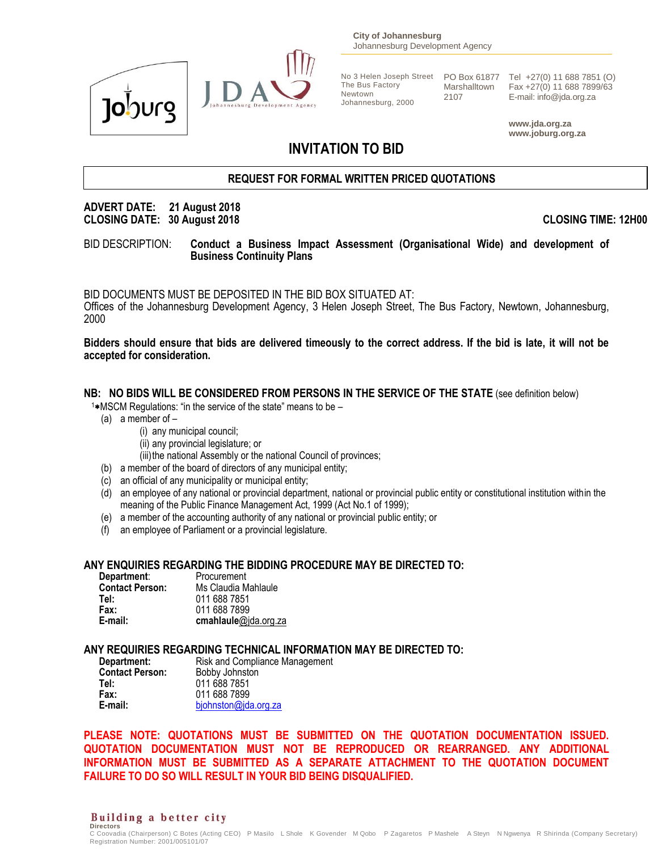



**City of Johannesburg** Johannesburg Development Agency

Newtown Johannesburg, 2000

2107

No 3 Helen Joseph Street PO Box 61877 Tel +27(0) 11 688 7851 (O) The Bus Factory Marshalltown Fax +27(0) 11 688 7899/63 E-mail: info@jda.org.za

> **www.jda.org.za www.joburg.org.za**

# **INVITATION TO BID**

# **REQUEST FOR FORMAL WRITTEN PRICED QUOTATIONS**

# **ADVERT DATE: 21 August 2018 CLOSING DATE: 30 August 2018 CLOSING TIME: 12H00**

BID DESCRIPTION: **Conduct a Business Impact Assessment (Organisational Wide) and development of Business Continuity Plans**

BID DOCUMENTS MUST BE DEPOSITED IN THE BID BOX SITUATED AT:

Offices of the Johannesburg Development Agency, 3 Helen Joseph Street, The Bus Factory, Newtown, Johannesburg, 2000

**Bidders should ensure that bids are delivered timeously to the correct address. If the bid is late, it will not be accepted for consideration.**

# **NB: NO BIDS WILL BE CONSIDERED FROM PERSONS IN THE SERVICE OF THE STATE** (see definition below)

 $1*$ MSCM Regulations: "in the service of the state" means to be  $-$ 

- (a) a member of
	- (i) any municipal council;
	- (ii) any provincial legislature; or
	- (iii) the national Assembly or the national Council of provinces;
- (b) a member of the board of directors of any municipal entity;
- (c) an official of any municipality or municipal entity;
- (d) an employee of any national or provincial department, national or provincial public entity or constitutional institution within the meaning of the Public Finance Management Act, 1999 (Act No.1 of 1999);
- (e) a member of the accounting authority of any national or provincial public entity; or
- (f) an employee of Parliament or a provincial legislature.

#### **ANY ENQUIRIES REGARDING THE BIDDING PROCEDURE MAY BE DIRECTED TO:**

| Department:            | Procurement          |
|------------------------|----------------------|
| <b>Contact Person:</b> | Ms Claudia Mahlaule  |
| Tel:                   | 011 688 7851         |
| Fax:                   | 011 688 7899         |
| E-mail:                | cmahlaule@jda.org.za |

# **ANY REQUIRIES REGARDING TECHNICAL INFORMATION MAY BE DIRECTED TO:**

| Department:            | Risk and Compliance Management |
|------------------------|--------------------------------|
| <b>Contact Person:</b> | Bobby Johnston                 |
| Tel:                   | 011 688 7851                   |
| Fax:                   | 011 688 7899                   |
| E-mail:                | bjohnston@jda.org.za           |

**PLEASE NOTE: QUOTATIONS MUST BE SUBMITTED ON THE QUOTATION DOCUMENTATION ISSUED. QUOTATION DOCUMENTATION MUST NOT BE REPRODUCED OR REARRANGED. ANY ADDITIONAL INFORMATION MUST BE SUBMITTED AS A SEPARATE ATTACHMENT TO THE QUOTATION DOCUMENT FAILURE TO DO SO WILL RESULT IN YOUR BID BEING DISQUALIFIED.**

Building a better city **Directors** 

C Coovadia (Chairperson) C Botes (Acting CEO) P Masilo L Shole K Govender M Qobo P Zagaretos P Mashele A Steyn N Ngwenya R Shirinda (Company Secretary) Registration Number: 2001/005101/07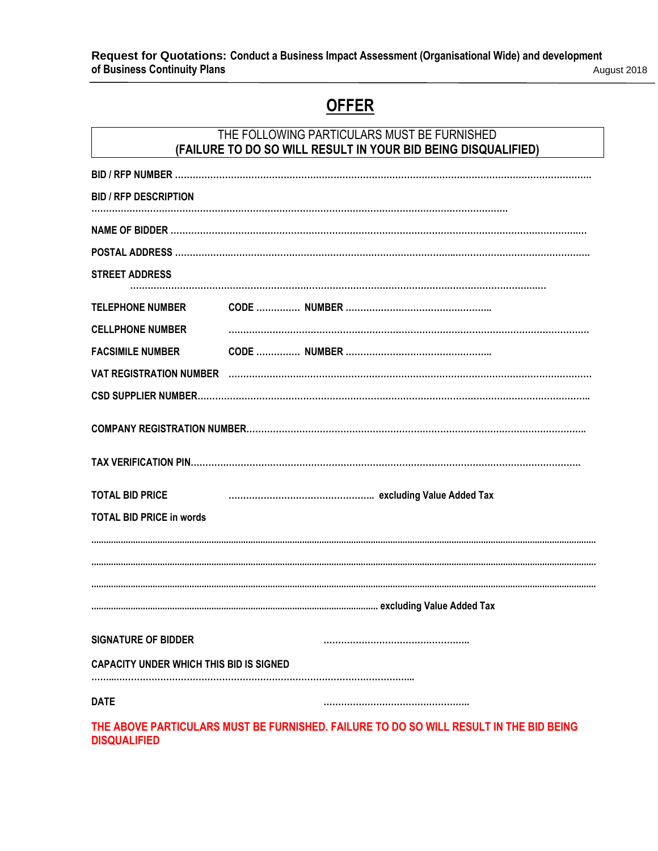**Request for Quotations: Conduct a Business Impact Assessment (Organisational Wide) and development of Business Continuity Plans** August 2018

# **OFFER**

|                                                | THE FOLLOWING PARTICULARS MUST BE FURNISHED<br>(FAILURE TO DO SO WILL RESULT IN YOUR BID BEING DISQUALIFIED) |
|------------------------------------------------|--------------------------------------------------------------------------------------------------------------|
|                                                |                                                                                                              |
| <b>BID / RFP DESCRIPTION</b>                   |                                                                                                              |
|                                                |                                                                                                              |
|                                                |                                                                                                              |
| <b>STREET ADDRESS</b>                          |                                                                                                              |
| <b>TELEPHONE NUMBER</b>                        |                                                                                                              |
| <b>CELLPHONE NUMBER</b>                        |                                                                                                              |
| <b>FACSIMILE NUMBER</b>                        |                                                                                                              |
|                                                |                                                                                                              |
|                                                |                                                                                                              |
|                                                |                                                                                                              |
|                                                |                                                                                                              |
| <b>TOTAL BID PRICE</b>                         |                                                                                                              |
| <b>TOTAL BID PRICE in words</b>                |                                                                                                              |
|                                                |                                                                                                              |
|                                                |                                                                                                              |
|                                                |                                                                                                              |
| <b>SIGNATURE OF BIDDER</b>                     |                                                                                                              |
| <b>CAPACITY UNDER WHICH THIS BID IS SIGNED</b> |                                                                                                              |
| <b>DATE</b>                                    |                                                                                                              |
|                                                | THE ABOVE PARTICULARS MUST BE FURNISHED. FAILURE TO DO SO WILL RESULT IN THE BID BEING                       |

**DISQUALIFIED**

 $\mathbf{r}$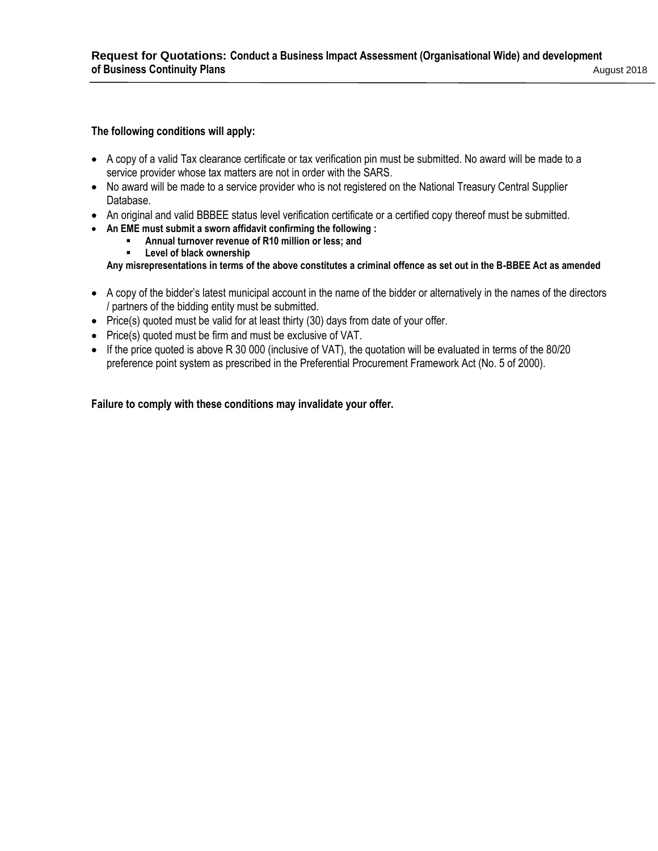### **The following conditions will apply:**

- A copy of a valid Tax clearance certificate or tax verification pin must be submitted. No award will be made to a service provider whose tax matters are not in order with the SARS.
- No award will be made to a service provider who is not registered on the National Treasury Central Supplier Database.
- An original and valid BBBEE status level verification certificate or a certified copy thereof must be submitted.
- **An EME must submit a sworn affidavit confirming the following :** 
	- **Annual turnover revenue of R10 million or less; and**
	- **Level of black ownership**

**Any misrepresentations in terms of the above constitutes a criminal offence as set out in the B-BBEE Act as amended**

- A copy of the bidder's latest municipal account in the name of the bidder or alternatively in the names of the directors / partners of the bidding entity must be submitted.
- Price(s) quoted must be valid for at least thirty (30) days from date of your offer.
- Price(s) quoted must be firm and must be exclusive of VAT.
- If the price quoted is above R 30 000 (inclusive of VAT), the quotation will be evaluated in terms of the 80/20 preference point system as prescribed in the Preferential Procurement Framework Act (No. 5 of 2000).

# **Failure to comply with these conditions may invalidate your offer.**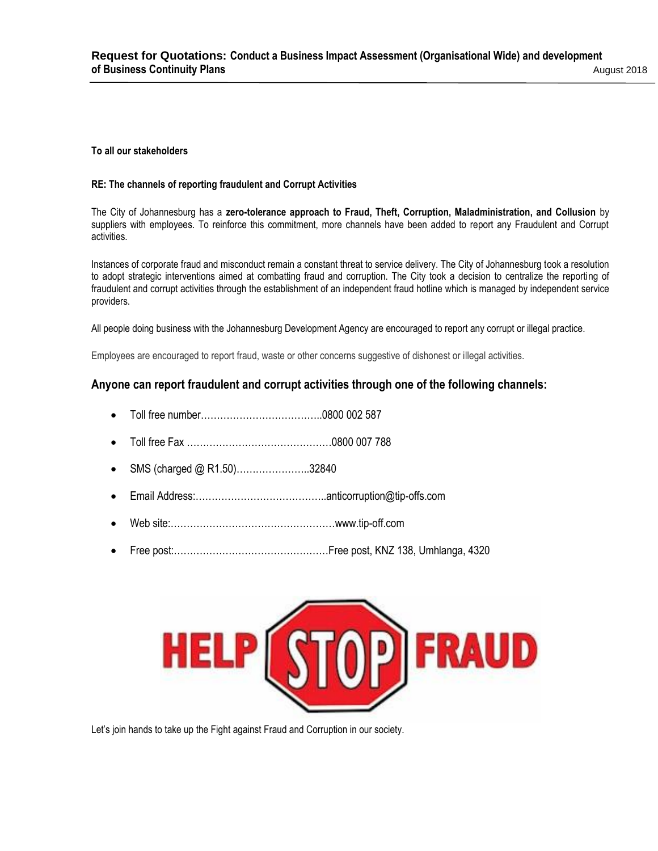#### **To all our stakeholders**

#### **RE: The channels of reporting fraudulent and Corrupt Activities**

The City of Johannesburg has a **zero-tolerance approach to Fraud, Theft, Corruption, Maladministration, and Collusion** by suppliers with employees. To reinforce this commitment, more channels have been added to report any Fraudulent and Corrupt activities.

Instances of corporate fraud and misconduct remain a constant threat to service delivery. The City of Johannesburg took a resolution to adopt strategic interventions aimed at combatting fraud and corruption. The City took a decision to centralize the reporting of fraudulent and corrupt activities through the establishment of an independent fraud hotline which is managed by independent service providers.

All people doing business with the Johannesburg Development Agency are encouraged to report any corrupt or illegal practice.

Employees are encouraged to report fraud, waste or other concerns suggestive of dishonest or illegal activities.

# **Anyone can report fraudulent and corrupt activities through one of the following channels:**

- Toll free number…………………………………0800 002 587
- Toll free Fax ………………………………………0800 007 788
- SMS (charged @ R1.50)…………………..32840
- Email Address:…………………………………..anticorruption@tip-offs.com
- Web site:……………………………………………www.tip-off.com
- Free post:…………………………………………Free post, KNZ 138, Umhlanga, 4320



Let's join hands to take up the Fight against Fraud and Corruption in our society.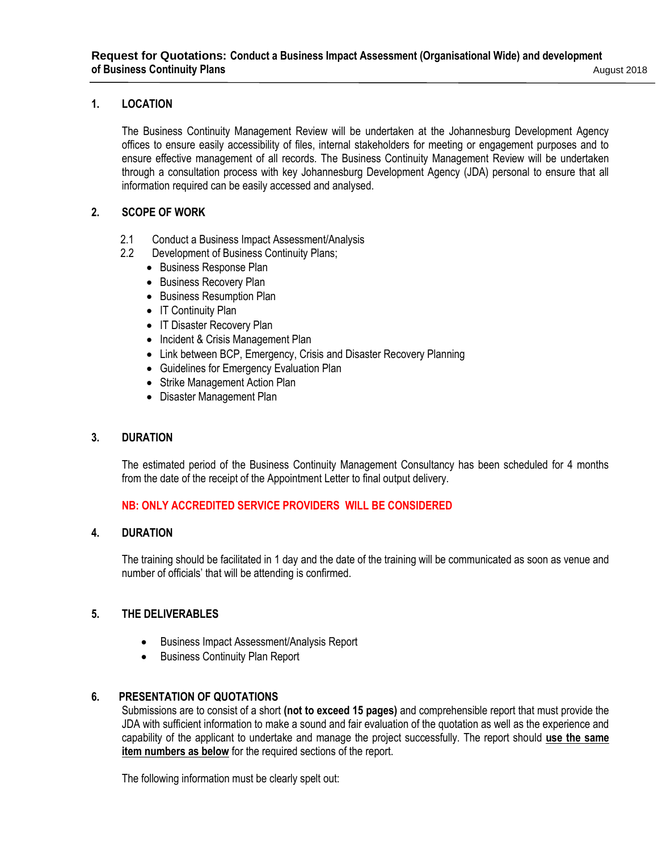# **1. LOCATION**

The Business Continuity Management Review will be undertaken at the Johannesburg Development Agency offices to ensure easily accessibility of files, internal stakeholders for meeting or engagement purposes and to ensure effective management of all records. The Business Continuity Management Review will be undertaken through a consultation process with key Johannesburg Development Agency (JDA) personal to ensure that all information required can be easily accessed and analysed.

# **2. SCOPE OF WORK**

- 2.1 Conduct a Business Impact Assessment/Analysis
- 2.2 Development of Business Continuity Plans;
	- Business Response Plan
	- Business Recovery Plan
	- Business Resumption Plan
	- IT Continuity Plan
	- IT Disaster Recovery Plan
	- Incident & Crisis Management Plan
	- Link between BCP, Emergency, Crisis and Disaster Recovery Planning
	- Guidelines for Emergency Evaluation Plan
	- Strike Management Action Plan
	- Disaster Management Plan

#### **3. DURATION**

The estimated period of the Business Continuity Management Consultancy has been scheduled for 4 months from the date of the receipt of the Appointment Letter to final output delivery.

# **NB: ONLY ACCREDITED SERVICE PROVIDERS WILL BE CONSIDERED**

# **4. DURATION**

The training should be facilitated in 1 day and the date of the training will be communicated as soon as venue and number of officials' that will be attending is confirmed.

# **5. THE DELIVERABLES**

- Business Impact Assessment/Analysis Report
- Business Continuity Plan Report

#### **6. PRESENTATION OF QUOTATIONS**

Submissions are to consist of a short **(not to exceed 15 pages)** and comprehensible report that must provide the JDA with sufficient information to make a sound and fair evaluation of the quotation as well as the experience and capability of the applicant to undertake and manage the project successfully. The report should **use the same item numbers as below** for the required sections of the report.

The following information must be clearly spelt out: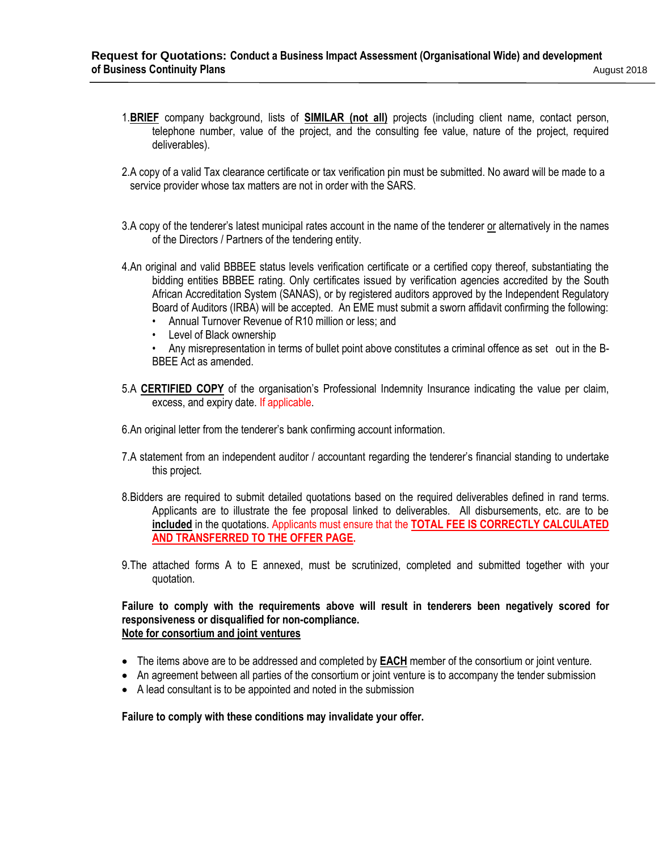- 1.**BRIEF** company background, lists of **SIMILAR (not all)** projects (including client name, contact person, telephone number, value of the project, and the consulting fee value, nature of the project, required deliverables).
- 2.A copy of a valid Tax clearance certificate or tax verification pin must be submitted. No award will be made to a service provider whose tax matters are not in order with the SARS.
- 3.A copy of the tenderer's latest municipal rates account in the name of the tenderer or alternatively in the names of the Directors / Partners of the tendering entity.
- 4.An original and valid BBBEE status levels verification certificate or a certified copy thereof, substantiating the bidding entities BBBEE rating. Only certificates issued by verification agencies accredited by the South African Accreditation System (SANAS), or by registered auditors approved by the Independent Regulatory Board of Auditors (IRBA) will be accepted. An EME must submit a sworn affidavit confirming the following:
	- Annual Turnover Revenue of R10 million or less; and
	- Level of Black ownership
	- Any misrepresentation in terms of bullet point above constitutes a criminal offence as set out in the B-BBEE Act as amended.
- 5.A **CERTIFIED COPY** of the organisation's Professional Indemnity Insurance indicating the value per claim, excess, and expiry date. If applicable.
- 6.An original letter from the tenderer's bank confirming account information.
- 7.A statement from an independent auditor / accountant regarding the tenderer's financial standing to undertake this project.
- 8.Bidders are required to submit detailed quotations based on the required deliverables defined in rand terms. Applicants are to illustrate the fee proposal linked to deliverables. All disbursements, etc. are to be **included** in the quotations. Applicants must ensure that the **TOTAL FEE IS CORRECTLY CALCULATED AND TRANSFERRED TO THE OFFER PAGE.**
- 9.The attached forms A to E annexed, must be scrutinized, completed and submitted together with your quotation.

**Failure to comply with the requirements above will result in tenderers been negatively scored for responsiveness or disqualified for non-compliance. Note for consortium and joint ventures**

- The items above are to be addressed and completed by **EACH** member of the consortium or joint venture.
- An agreement between all parties of the consortium or joint venture is to accompany the tender submission
- A lead consultant is to be appointed and noted in the submission

#### **Failure to comply with these conditions may invalidate your offer.**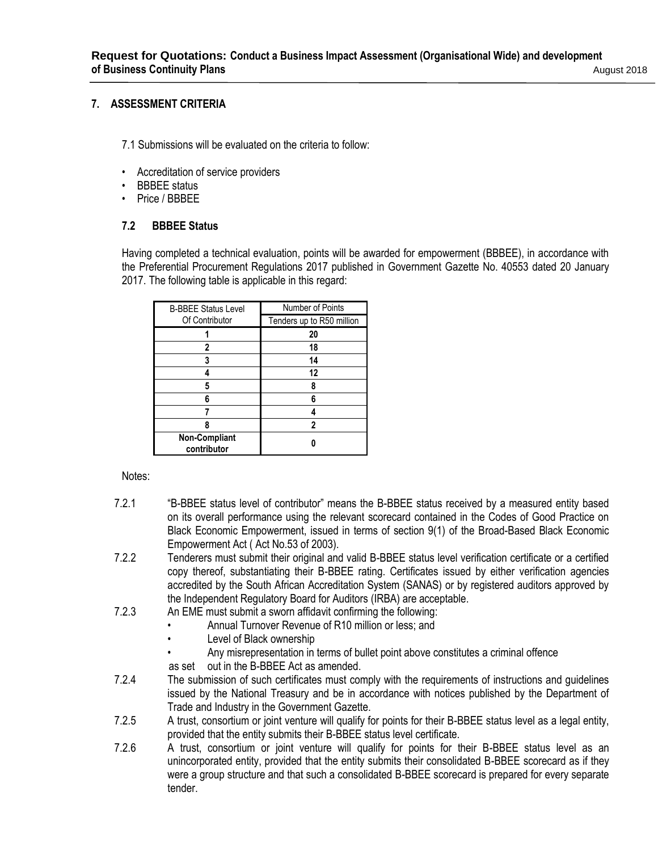# **7. ASSESSMENT CRITERIA**

7.1 Submissions will be evaluated on the criteria to follow:

- Accreditation of service providers
- BBBEE status
- Price / BBBEE

# **7.2 BBBEE Status**

Having completed a technical evaluation, points will be awarded for empowerment (BBBEE), in accordance with the Preferential Procurement Regulations 2017 published in Government Gazette No. 40553 dated 20 January 2017. The following table is applicable in this regard:

| <b>B-BBEE Status Level</b>          | Number of Points          |
|-------------------------------------|---------------------------|
| Of Contributor                      | Tenders up to R50 million |
|                                     | 20                        |
| 2                                   | 18                        |
| 3                                   | 14                        |
|                                     | 12                        |
| 5                                   | 8                         |
| 6                                   | 6                         |
|                                     |                           |
| ጸ                                   | 2                         |
| <b>Non-Compliant</b><br>contributor |                           |

#### Notes:

- 7.2.1 "B-BBEE status level of contributor" means the B-BBEE status received by a measured entity based on its overall performance using the relevant scorecard contained in the Codes of Good Practice on Black Economic Empowerment, issued in terms of section 9(1) of the Broad-Based Black Economic Empowerment Act ( Act No.53 of 2003).
- 7.2.2 Tenderers must submit their original and valid B-BBEE status level verification certificate or a certified copy thereof, substantiating their B-BBEE rating. Certificates issued by either verification agencies accredited by the South African Accreditation System (SANAS) or by registered auditors approved by the Independent Regulatory Board for Auditors (IRBA) are acceptable.
- 7.2.3 An EME must submit a sworn affidavit confirming the following:
	- Annual Turnover Revenue of R10 million or less; and
	- Level of Black ownership
	- Any misrepresentation in terms of bullet point above constitutes a criminal offence
	- as set out in the B-BBEE Act as amended.
- 7.2.4 The submission of such certificates must comply with the requirements of instructions and guidelines issued by the National Treasury and be in accordance with notices published by the Department of Trade and Industry in the Government Gazette.
- 7.2.5 A trust, consortium or joint venture will qualify for points for their B-BBEE status level as a legal entity, provided that the entity submits their B-BBEE status level certificate.
- 7.2.6 A trust, consortium or joint venture will qualify for points for their B-BBEE status level as an unincorporated entity, provided that the entity submits their consolidated B-BBEE scorecard as if they were a group structure and that such a consolidated B-BBEE scorecard is prepared for every separate tender.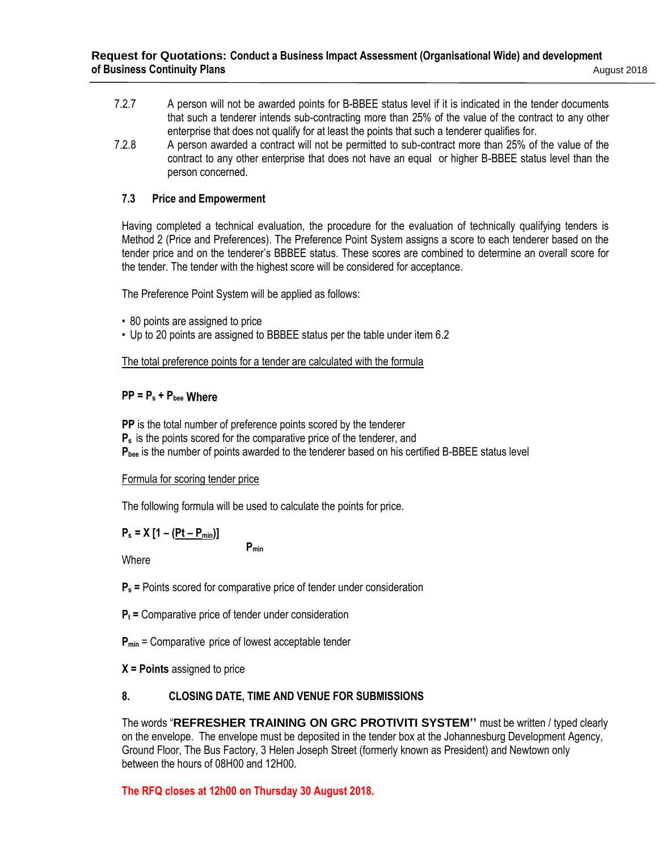- 7.2.7 A person will not be awarded points for B-BBEE status level if it is indicated in the tender documents that such a tenderer intends sub-contracting more than 25% of the value of the contract to any other enterprise that does not qualify for at least the points that such a tenderer qualifies for.
- 7.2.8 A person awarded a contract will not be permitted to sub-contract more than 25% of the value of the contract to any other enterprise that does not have an equal or higher B-BBEE status level than the person concerned.

# **7.3 Price and Empowerment**

Having completed a technical evaluation, the procedure for the evaluation of technically qualifying tenders is Method 2 (Price and Preferences). The Preference Point System assigns a score to each tenderer based on the tender price and on the tenderer's BBBEE status. These scores are combined to determine an overall score for the tender. The tender with the highest score will be considered for acceptance.

The Preference Point System will be applied as follows:

- 80 points are assigned to price
- Up to 20 points are assigned to BBBEE status per the table under item 6.2

The total preference points for a tender are calculated with the formula

# **PP = P<sup>s</sup> + Pbee Where**

**PP** is the total number of preference points scored by the tenderer

**P<sup>s</sup>** is the points scored for the comparative price of the tenderer, and

**Pbee** is the number of points awarded to the tenderer based on his certified B-BBEE status level

# Formula for scoring tender price

The following formula will be used to calculate the points for price.

$$
P_s = X [1 - (Pt - P_{min})]
$$

**Where** 

**Pmin**

**P<sup>s</sup> =** Points scored for comparative price of tender under consideration

**P<sup>t</sup> =** Comparative price of tender under consideration

**Pmin** = Comparative price of lowest acceptable tender

**X = Points** assigned to price

# **8. CLOSING DATE, TIME AND VENUE FOR SUBMISSIONS**

The words "**REFRESHER TRAINING ON GRC PROTIVITI SYSTEM''** must be written / typed clearly on the envelope. The envelope must be deposited in the tender box at the Johannesburg Development Agency, Ground Floor, The Bus Factory, 3 Helen Joseph Street (formerly known as President) and Newtown only between the hours of 08H00 and 12H00.

# **The RFQ closes at 12h00 on Thursday 30 August 2018.**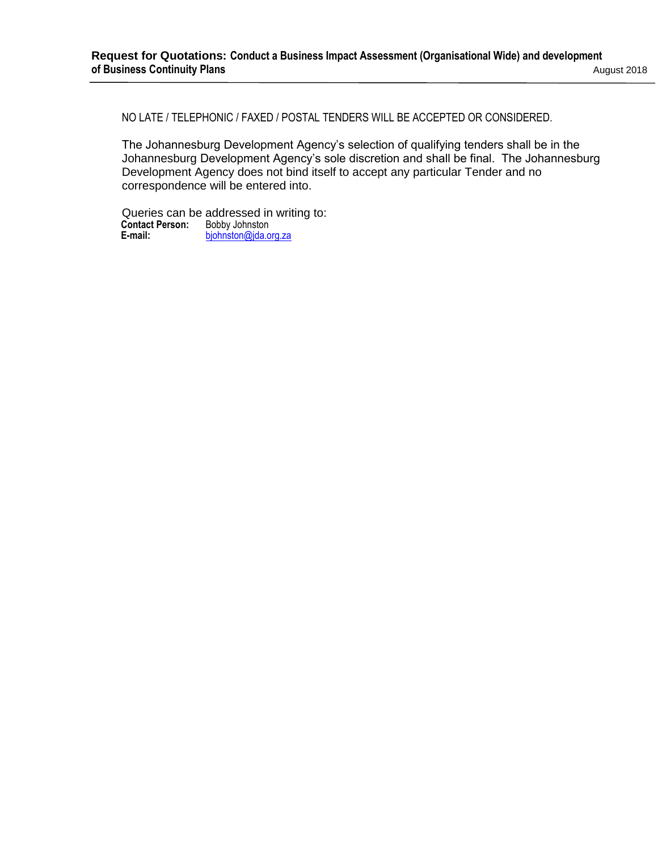NO LATE / TELEPHONIC / FAXED / POSTAL TENDERS WILL BE ACCEPTED OR CONSIDERED.

The Johannesburg Development Agency's selection of qualifying tenders shall be in the Johannesburg Development Agency's sole discretion and shall be final. The Johannesburg Development Agency does not bind itself to accept any particular Tender and no correspondence will be entered into.

Queries can be addressed in writing to: **Contact Person:** Bobby Johnston<br>**E-mail:** bjohnston@jda.o [bjohnston@jda.org.za](mailto:bjohnston@jda.org.za)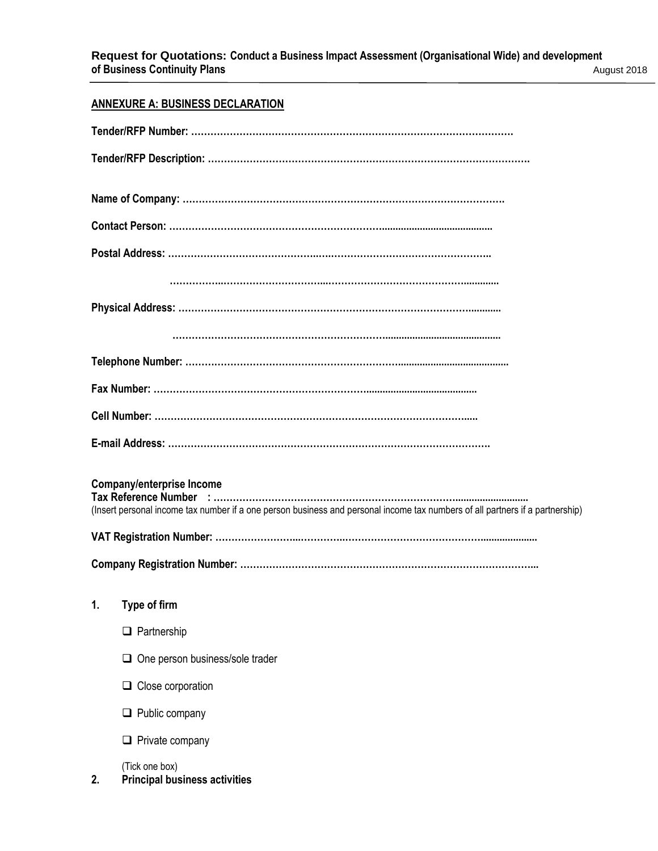# **ANNEXURE A: BUSINESS DECLARATION**

|    | <b>Company/enterprise Income</b><br>(Insert personal income tax number if a one person business and personal income tax numbers of all partners if a partnership) |
|----|-------------------------------------------------------------------------------------------------------------------------------------------------------------------|
|    |                                                                                                                                                                   |
|    |                                                                                                                                                                   |
| 1. | Type of firm                                                                                                                                                      |
|    | $\Box$ Partnership                                                                                                                                                |
|    | One person business/sole trader                                                                                                                                   |
|    | $\Box$ Close corporation                                                                                                                                          |
|    | $\Box$ Public company                                                                                                                                             |
|    | Private company                                                                                                                                                   |
| 2. | (Tick one box)<br><b>Principal business activities</b>                                                                                                            |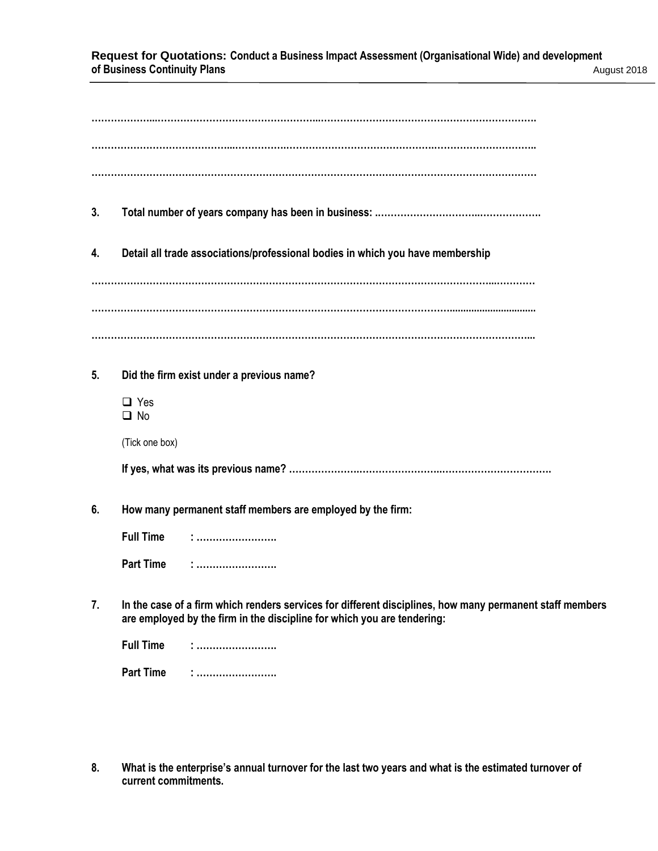#### **Request for Quotations: Conduct a Business Impact Assessment (Organisational Wide) and development of Business Continuity Plans** August 2018

| 3. |                         |                                                                                                                                                                                     |
|----|-------------------------|-------------------------------------------------------------------------------------------------------------------------------------------------------------------------------------|
| 4. |                         | Detail all trade associations/professional bodies in which you have membership                                                                                                      |
|    |                         |                                                                                                                                                                                     |
|    |                         |                                                                                                                                                                                     |
|    |                         |                                                                                                                                                                                     |
| 5. |                         | Did the firm exist under a previous name?                                                                                                                                           |
|    | $\Box$ Yes<br>$\Box$ No |                                                                                                                                                                                     |
|    | (Tick one box)          |                                                                                                                                                                                     |
|    |                         |                                                                                                                                                                                     |
| 6. |                         | How many permanent staff members are employed by the firm:                                                                                                                          |
|    | <b>Full Time</b>        |                                                                                                                                                                                     |
|    | <b>Part Time</b>        |                                                                                                                                                                                     |
| 7. |                         | In the case of a firm which renders services for different disciplines, how many permanent staff members<br>are employed by the firm in the discipline for which you are tendering: |
|    | <b>Full Time</b>        | :<br>:                                                                                                                                                                              |
|    | <b>Part Time</b>        |                                                                                                                                                                                     |

**8. What is the enterprise's annual turnover for the last two years and what is the estimated turnover of current commitments.**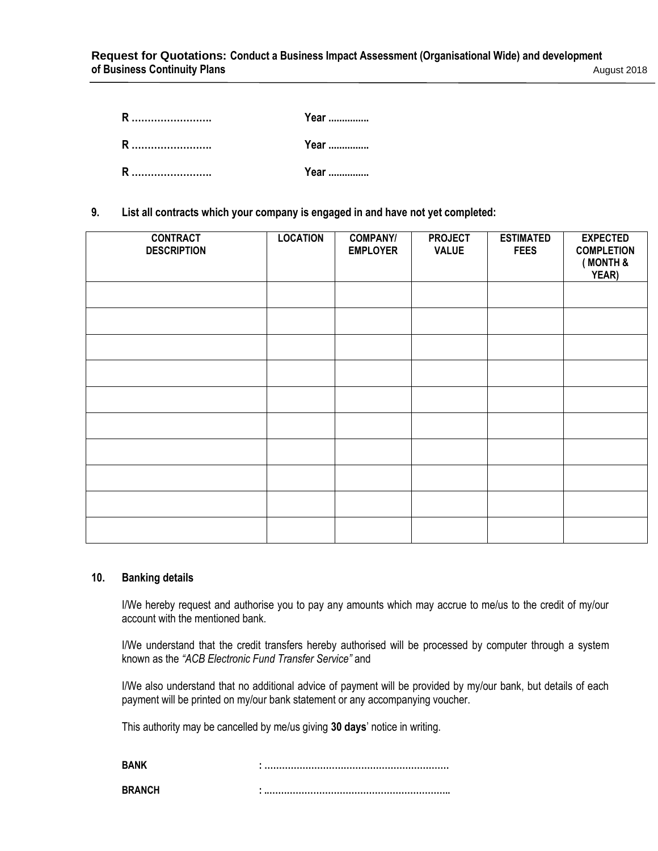| R                  | Year |
|--------------------|------|
| <b>R</b> ……………………… | Year |
|                    | Year |

**9. List all contracts which your company is engaged in and have not yet completed:**

| <b>CONTRACT</b><br><b>DESCRIPTION</b> | <b>LOCATION</b> | <b>COMPANY/</b><br><b>EMPLOYER</b> | <b>PROJECT</b><br><b>VALUE</b> | <b>ESTIMATED</b><br><b>FEES</b> | <b>EXPECTED</b><br><b>COMPLETION</b><br>(MONTH &<br>YEAR) |
|---------------------------------------|-----------------|------------------------------------|--------------------------------|---------------------------------|-----------------------------------------------------------|
|                                       |                 |                                    |                                |                                 |                                                           |
|                                       |                 |                                    |                                |                                 |                                                           |
|                                       |                 |                                    |                                |                                 |                                                           |
|                                       |                 |                                    |                                |                                 |                                                           |
|                                       |                 |                                    |                                |                                 |                                                           |
|                                       |                 |                                    |                                |                                 |                                                           |
|                                       |                 |                                    |                                |                                 |                                                           |
|                                       |                 |                                    |                                |                                 |                                                           |
|                                       |                 |                                    |                                |                                 |                                                           |
|                                       |                 |                                    |                                |                                 |                                                           |

#### **10. Banking details**

I/We hereby request and authorise you to pay any amounts which may accrue to me/us to the credit of my/our account with the mentioned bank.

I/We understand that the credit transfers hereby authorised will be processed by computer through a system known as the *"ACB Electronic Fund Transfer Service"* and

I/We also understand that no additional advice of payment will be provided by my/our bank, but details of each payment will be printed on my/our bank statement or any accompanying voucher.

This authority may be cancelled by me/us giving **30 days**' notice in writing.

| RAN           |  |
|---------------|--|
| <b>RRANCH</b> |  |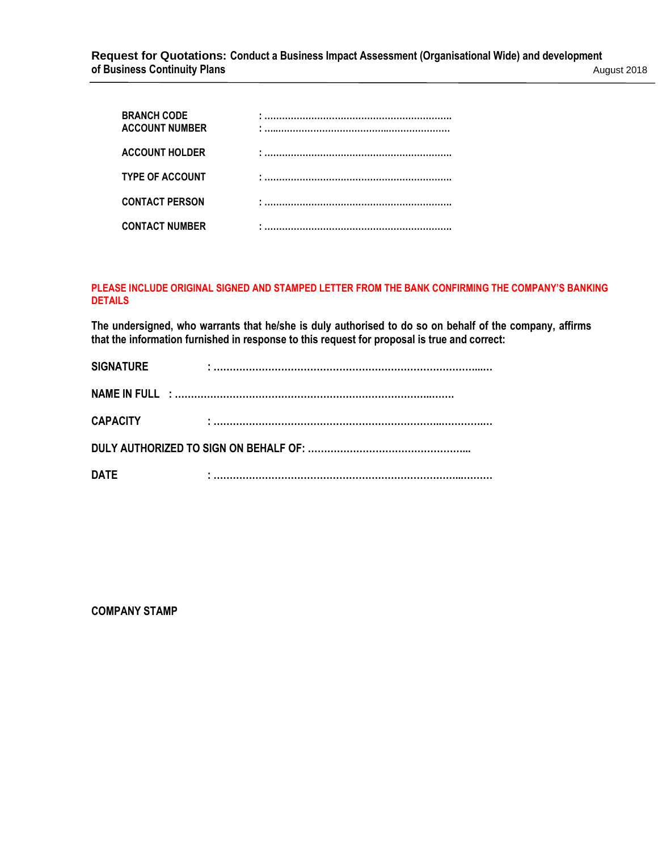| <b>BRANCH CODE</b><br><b>ACCOUNT NUMBER</b> | 이 사이에 대한 사이에 대한 사이에 대한 사이에 대한 사이에 대한 사이에 대한 사이에 대한 사이에 대한 사이에 대한 사이에 대한 사이에 대한 사이에 대한 사이에 대한 사이에 대한 사이에 대한 사이에<br>이 사이에 대한 사이에 대한 사이에 대한 사이에 대한 사이에 대한 사이에 대한 사이에 대한 사이에 대한 사이에 대한 사이에 대한 사이에 대한 사이에 대한 사이에 대한 사이에 대한 사이에 대한 사이에 |
|---------------------------------------------|----------------------------------------------------------------------------------------------------------------------------------------------------------------------------------------------------------------------------------|
| <b>ACCOUNT HOLDER</b>                       |                                                                                                                                                                                                                                  |
| <b>TYPE OF ACCOUNT</b>                      |                                                                                                                                                                                                                                  |
| <b>CONTACT PERSON</b>                       |                                                                                                                                                                                                                                  |
| <b>CONTACT NUMBER</b>                       |                                                                                                                                                                                                                                  |

### **PLEASE INCLUDE ORIGINAL SIGNED AND STAMPED LETTER FROM THE BANK CONFIRMING THE COMPANY'S BANKING DETAILS**

**The undersigned, who warrants that he/she is duly authorised to do so on behalf of the company, affirms that the information furnished in response to this request for proposal is true and correct:**

| <b>SIGNATURE</b> | ٠. |
|------------------|----|
|                  |    |
| <b>CAPACITY</b>  |    |
|                  |    |
| <b>DATE</b>      |    |

**COMPANY STAMP**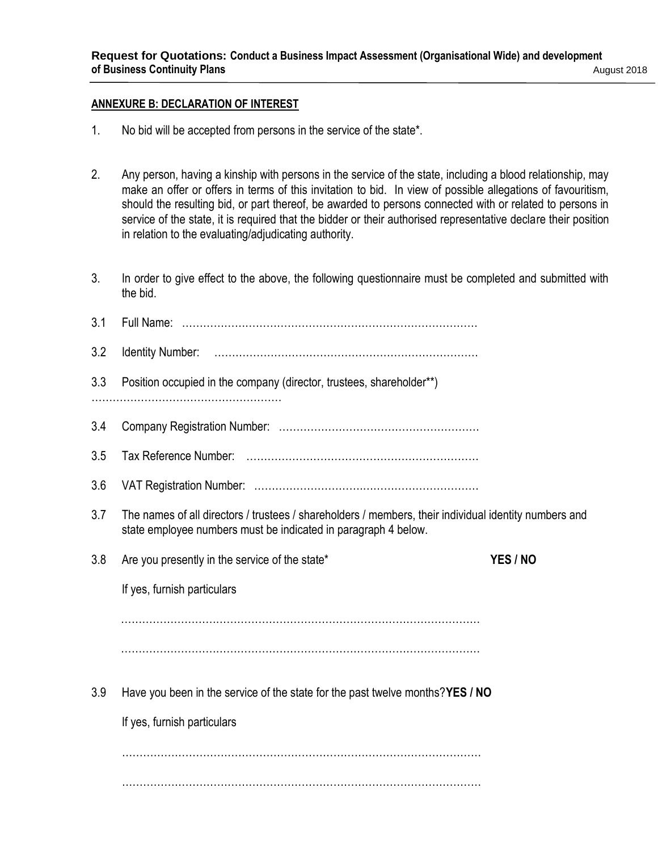# **ANNEXURE B: DECLARATION OF INTEREST**

- 1. No bid will be accepted from persons in the service of the state\*.
- 2. Any person, having a kinship with persons in the service of the state, including a blood relationship, may make an offer or offers in terms of this invitation to bid. In view of possible allegations of favouritism, should the resulting bid, or part thereof, be awarded to persons connected with or related to persons in service of the state, it is required that the bidder or their authorised representative declare their position in relation to the evaluating/adjudicating authority.
- 3. In order to give effect to the above, the following questionnaire must be completed and submitted with the bid.

| 3.1 |                                                                                                                                                                         |          |
|-----|-------------------------------------------------------------------------------------------------------------------------------------------------------------------------|----------|
| 3.2 |                                                                                                                                                                         |          |
| 3.3 | Position occupied in the company (director, trustees, shareholder**)                                                                                                    |          |
|     |                                                                                                                                                                         |          |
| 3.4 |                                                                                                                                                                         |          |
| 3.5 |                                                                                                                                                                         |          |
| 3.6 |                                                                                                                                                                         |          |
| 3.7 | The names of all directors / trustees / shareholders / members, their individual identity numbers and<br>state employee numbers must be indicated in paragraph 4 below. |          |
| 3.8 | Are you presently in the service of the state*                                                                                                                          | YES / NO |
|     |                                                                                                                                                                         |          |
|     | If yes, furnish particulars                                                                                                                                             |          |
|     |                                                                                                                                                                         |          |
|     |                                                                                                                                                                         |          |
|     |                                                                                                                                                                         |          |
| 3.9 | Have you been in the service of the state for the past twelve months?YES / NO                                                                                           |          |
|     | If yes, furnish particulars                                                                                                                                             |          |
|     |                                                                                                                                                                         |          |
|     |                                                                                                                                                                         |          |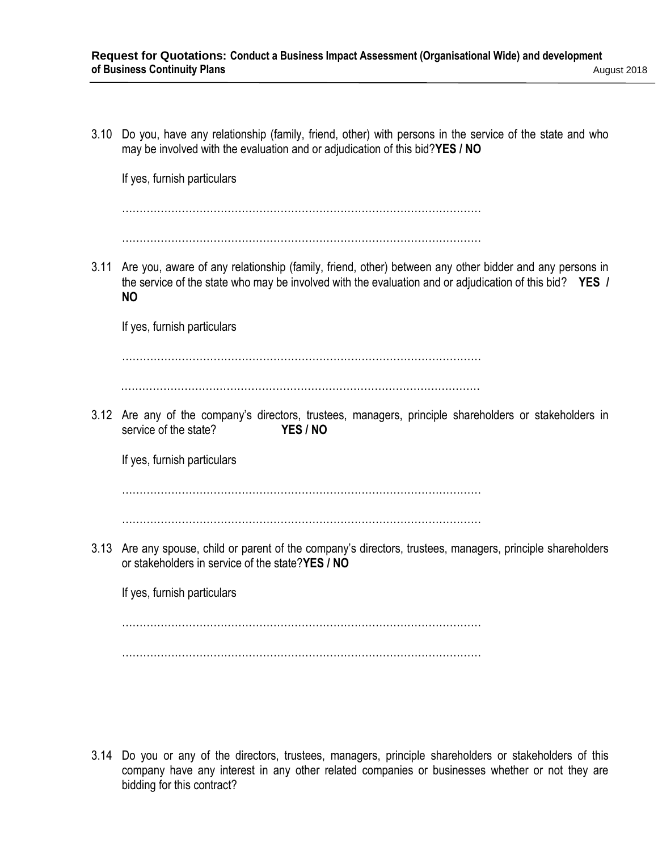3.10 Do you, have any relationship (family, friend, other) with persons in the service of the state and who may be involved with the evaluation and or adjudication of this bid?**YES / NO**

If yes, furnish particulars

…………………………………………………………………………………………

…………………………………………………………………………………………

3.11 Are you, aware of any relationship (family, friend, other) between any other bidder and any persons in the service of the state who may be involved with the evaluation and or adjudication of this bid? **YES / NO**

If yes, furnish particulars

…………………………………………………………………………………………

…………………………………………………………………………………………

3.12 Are any of the company's directors, trustees, managers, principle shareholders or stakeholders in service of the state? **YES / NO**

If yes, furnish particulars

…………………………………………………………………………………………

. The same state of the state of the state of the state of the state of the state of the state of the state of the state of the state of the state of the state of the state of the state of the state of the state of the st

3.13 Are any spouse, child or parent of the company's directors, trustees, managers, principle shareholders or stakeholders in service of the state?**YES / NO**

If yes, furnish particulars

…………………………………………………………………………………………

…………………………………………………………………………………………

3.14 Do you or any of the directors, trustees, managers, principle shareholders or stakeholders of this company have any interest in any other related companies or businesses whether or not they are bidding for this contract?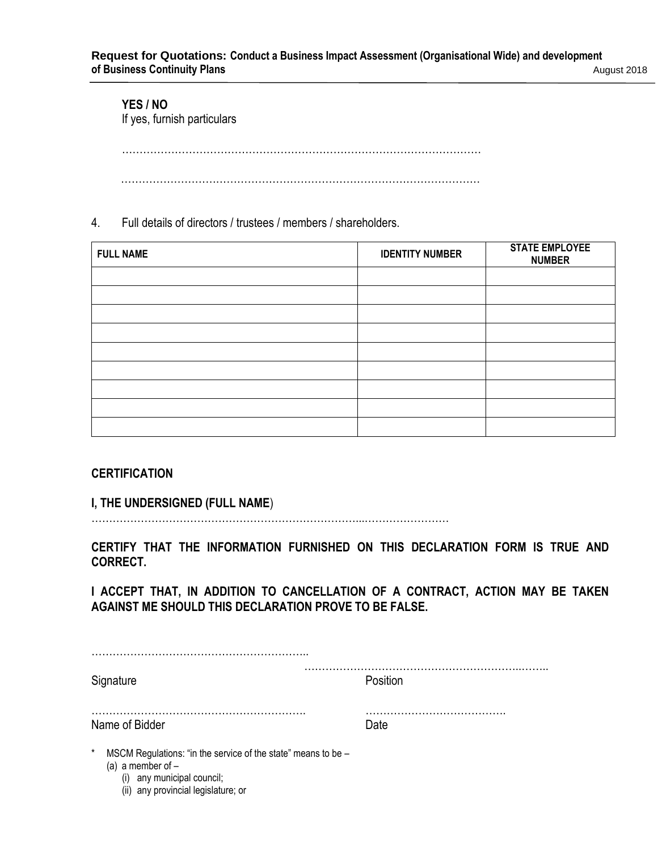# **YES / NO**

If yes, furnish particulars

…………………………………………………………………………………………

…………………………………………………………………………………………

# 4. Full details of directors / trustees / members / shareholders.

| <b>FULL NAME</b> | <b>IDENTITY NUMBER</b> | <b>STATE EMPLOYEE</b><br><b>NUMBER</b> |
|------------------|------------------------|----------------------------------------|
|                  |                        |                                        |
|                  |                        |                                        |
|                  |                        |                                        |
|                  |                        |                                        |
|                  |                        |                                        |
|                  |                        |                                        |
|                  |                        |                                        |
|                  |                        |                                        |
|                  |                        |                                        |

# **CERTIFICATION**

**I, THE UNDERSIGNED (FULL NAME**)

…………………………………………………………………...……………………

**CERTIFY THAT THE INFORMATION FURNISHED ON THIS DECLARATION FORM IS TRUE AND CORRECT.** 

**I ACCEPT THAT, IN ADDITION TO CANCELLATION OF A CONTRACT, ACTION MAY BE TAKEN AGAINST ME SHOULD THIS DECLARATION PROVE TO BE FALSE.** 

| Signature                                                                                                                    | Position |
|------------------------------------------------------------------------------------------------------------------------------|----------|
| Name of Bidder                                                                                                               | Date     |
| $\ast$<br>MSCM Regulations: "in the service of the state" means to be -<br>(a) a member of $-$<br>(i) any municipal council; |          |

(ii) any provincial legislature; or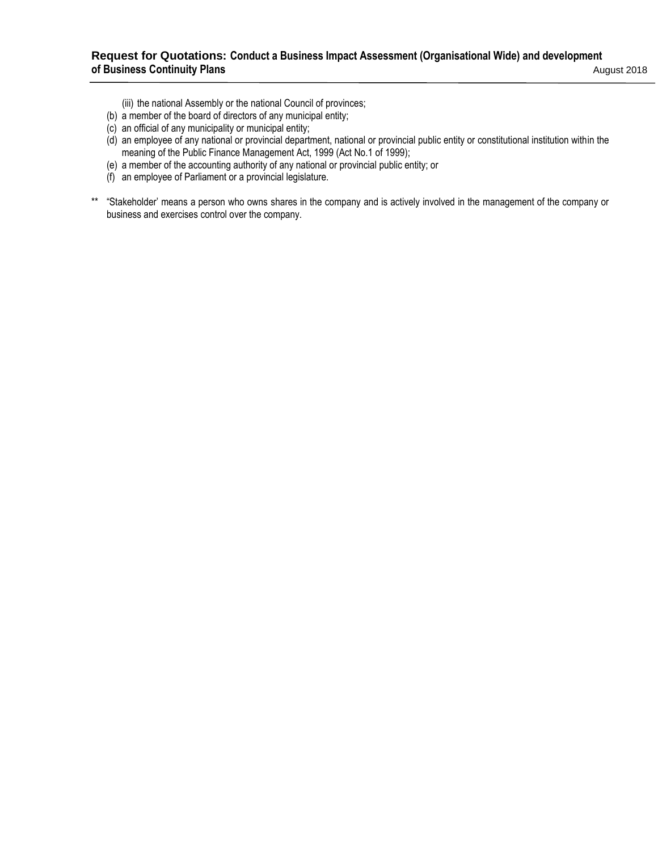# **Request for Quotations: Conduct a Business Impact Assessment (Organisational Wide) and development of Business Continuity Plans** August 2018

(iii) the national Assembly or the national Council of provinces;

- (b) a member of the board of directors of any municipal entity;
- (c) an official of any municipality or municipal entity;
- (d) an employee of any national or provincial department, national or provincial public entity or constitutional institution within the meaning of the Public Finance Management Act, 1999 (Act No.1 of 1999);
- (e) a member of the accounting authority of any national or provincial public entity; or
- (f) an employee of Parliament or a provincial legislature.
- \*\* "Stakeholder' means a person who owns shares in the company and is actively involved in the management of the company or business and exercises control over the company.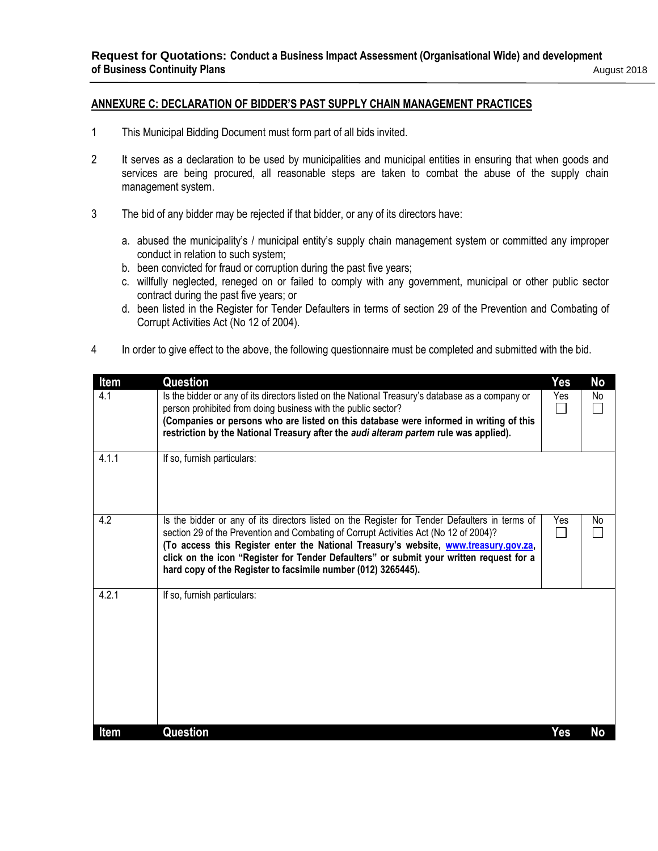### **ANNEXURE C: DECLARATION OF BIDDER'S PAST SUPPLY CHAIN MANAGEMENT PRACTICES**

- 1 This Municipal Bidding Document must form part of all bids invited.
- 2 It serves as a declaration to be used by municipalities and municipal entities in ensuring that when goods and services are being procured, all reasonable steps are taken to combat the abuse of the supply chain management system.
- 3 The bid of any bidder may be rejected if that bidder, or any of its directors have:
	- a. abused the municipality's / municipal entity's supply chain management system or committed any improper conduct in relation to such system;
	- b. been convicted for fraud or corruption during the past five years;
	- c. willfully neglected, reneged on or failed to comply with any government, municipal or other public sector contract during the past five years; or
	- d. been listed in the Register for Tender Defaulters in terms of section 29 of the Prevention and Combating of Corrupt Activities Act (No 12 of 2004).
- 4 In order to give effect to the above, the following questionnaire must be completed and submitted with the bid.

| <b>Item</b> | Question                                                                                                                                                                                                                                                                                                                                                                                                                                    | Yes | No  |
|-------------|---------------------------------------------------------------------------------------------------------------------------------------------------------------------------------------------------------------------------------------------------------------------------------------------------------------------------------------------------------------------------------------------------------------------------------------------|-----|-----|
| 4.1         | Is the bidder or any of its directors listed on the National Treasury's database as a company or<br>person prohibited from doing business with the public sector?<br>(Companies or persons who are listed on this database were informed in writing of this<br>restriction by the National Treasury after the audi alteram partem rule was applied).                                                                                        | Yes | No  |
| 4.1.1       | If so, furnish particulars:                                                                                                                                                                                                                                                                                                                                                                                                                 |     |     |
| 4.2         | Is the bidder or any of its directors listed on the Register for Tender Defaulters in terms of<br>section 29 of the Prevention and Combating of Corrupt Activities Act (No 12 of 2004)?<br>(To access this Register enter the National Treasury's website, www.treasury.gov.za,<br>click on the icon "Register for Tender Defaulters" or submit your written request for a<br>hard copy of the Register to facsimile number (012) 3265445). | Yes | No. |
| 4.2.1       | If so, furnish particulars:                                                                                                                                                                                                                                                                                                                                                                                                                 |     |     |
| ltem        | Question                                                                                                                                                                                                                                                                                                                                                                                                                                    | Yes | No  |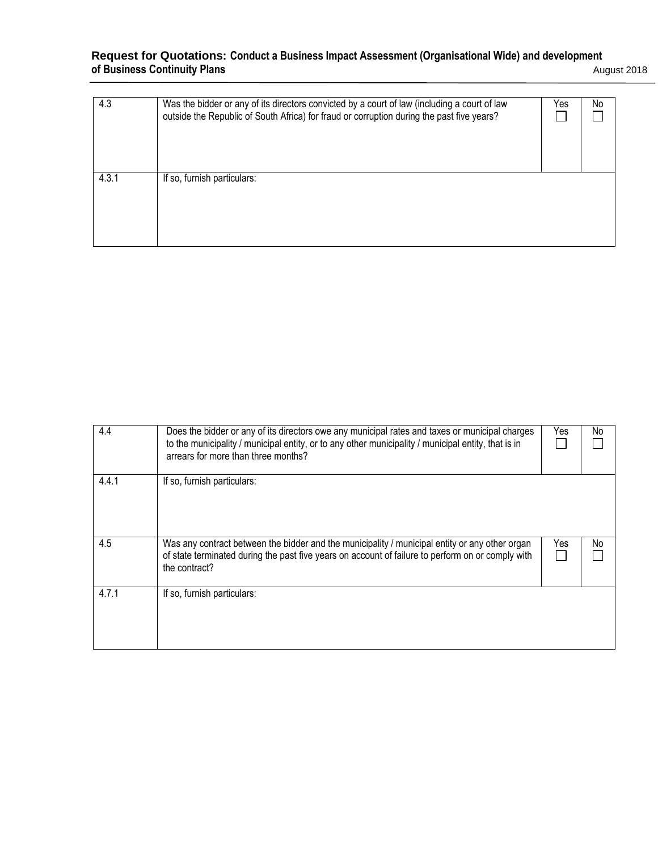#### **Request for Quotations: Conduct a Business Impact Assessment (Organisational Wide) and development of Business Continuity Plans** August 2018

| August 2018 |
|-------------|
|-------------|

| 4.3   | Was the bidder or any of its directors convicted by a court of law (including a court of law<br>outside the Republic of South Africa) for fraud or corruption during the past five years? | Yes | No. |
|-------|-------------------------------------------------------------------------------------------------------------------------------------------------------------------------------------------|-----|-----|
| 4.3.1 | If so, furnish particulars:                                                                                                                                                               |     |     |

| 4.4   | Does the bidder or any of its directors owe any municipal rates and taxes or municipal charges<br>to the municipality / municipal entity, or to any other municipality / municipal entity, that is in<br>arrears for more than three months? | Yes | No |
|-------|----------------------------------------------------------------------------------------------------------------------------------------------------------------------------------------------------------------------------------------------|-----|----|
| 4.4.1 | If so, furnish particulars:                                                                                                                                                                                                                  |     |    |
| 4.5   | Was any contract between the bidder and the municipality / municipal entity or any other organ<br>of state terminated during the past five years on account of failure to perform on or comply with<br>the contract?                         | Yes | No |
| 4.7.1 | If so, furnish particulars:                                                                                                                                                                                                                  |     |    |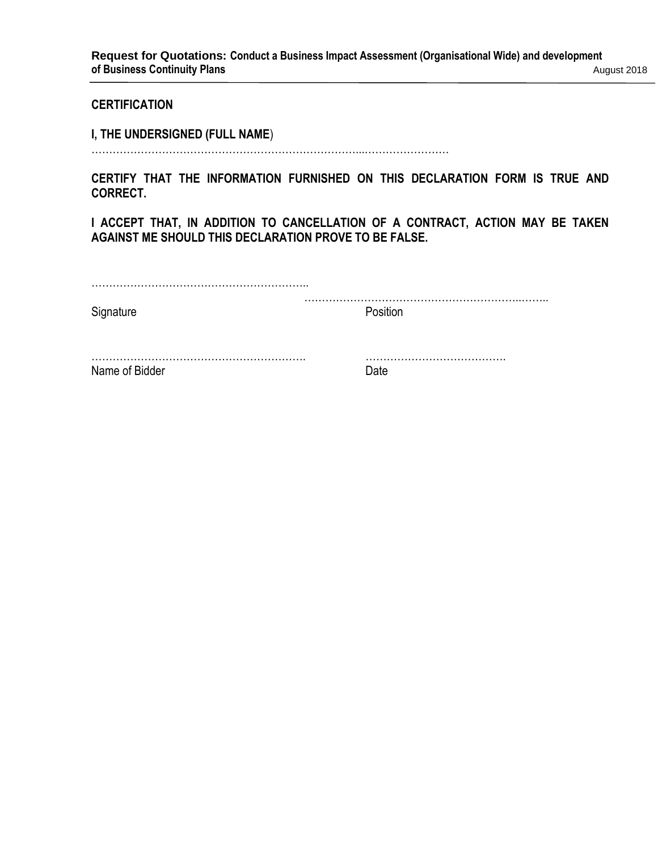# **CERTIFICATION**

**I, THE UNDERSIGNED (FULL NAME**)

…………………………………………………………………...……………………

**CERTIFY THAT THE INFORMATION FURNISHED ON THIS DECLARATION FORM IS TRUE AND CORRECT.** 

**I ACCEPT THAT, IN ADDITION TO CANCELLATION OF A CONTRACT, ACTION MAY BE TAKEN AGAINST ME SHOULD THIS DECLARATION PROVE TO BE FALSE.** 

| Signature      | Position |
|----------------|----------|
| Name of Bidder | Date     |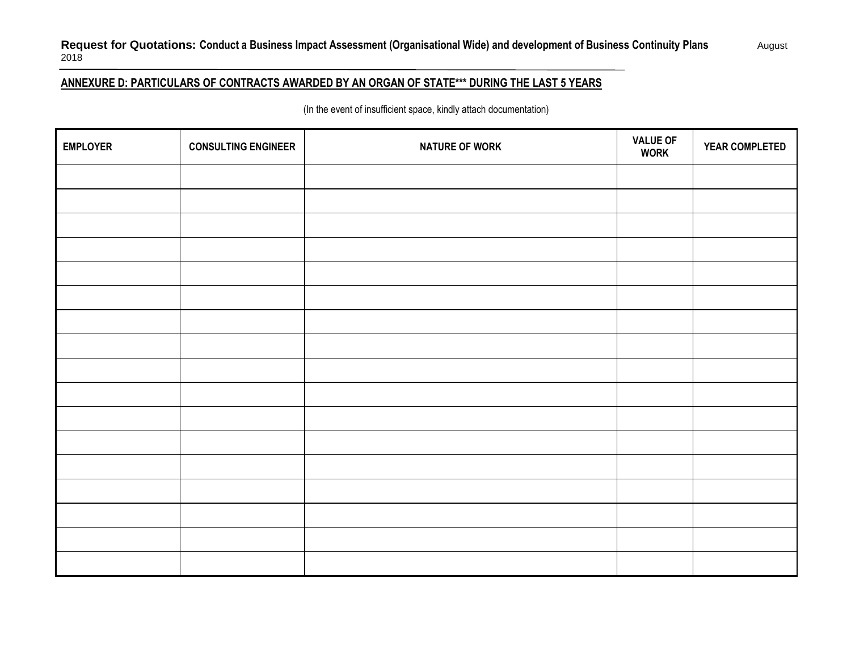# **Request for Quotations: Conduct a Business Impact Assessment (Organisational Wide) and development of Business Continuity Plans** August 2018

# **ANNEXURE D: PARTICULARS OF CONTRACTS AWARDED BY AN ORGAN OF STATE\*\*\* DURING THE LAST 5 YEARS**

(In the event of insufficient space, kindly attach documentation)

| <b>EMPLOYER</b> | <b>CONSULTING ENGINEER</b> | <b>NATURE OF WORK</b> | <b>VALUE OF</b><br><b>WORK</b> | YEAR COMPLETED |
|-----------------|----------------------------|-----------------------|--------------------------------|----------------|
|                 |                            |                       |                                |                |
|                 |                            |                       |                                |                |
|                 |                            |                       |                                |                |
|                 |                            |                       |                                |                |
|                 |                            |                       |                                |                |
|                 |                            |                       |                                |                |
|                 |                            |                       |                                |                |
|                 |                            |                       |                                |                |
|                 |                            |                       |                                |                |
|                 |                            |                       |                                |                |
|                 |                            |                       |                                |                |
|                 |                            |                       |                                |                |
|                 |                            |                       |                                |                |
|                 |                            |                       |                                |                |
|                 |                            |                       |                                |                |
|                 |                            |                       |                                |                |
|                 |                            |                       |                                |                |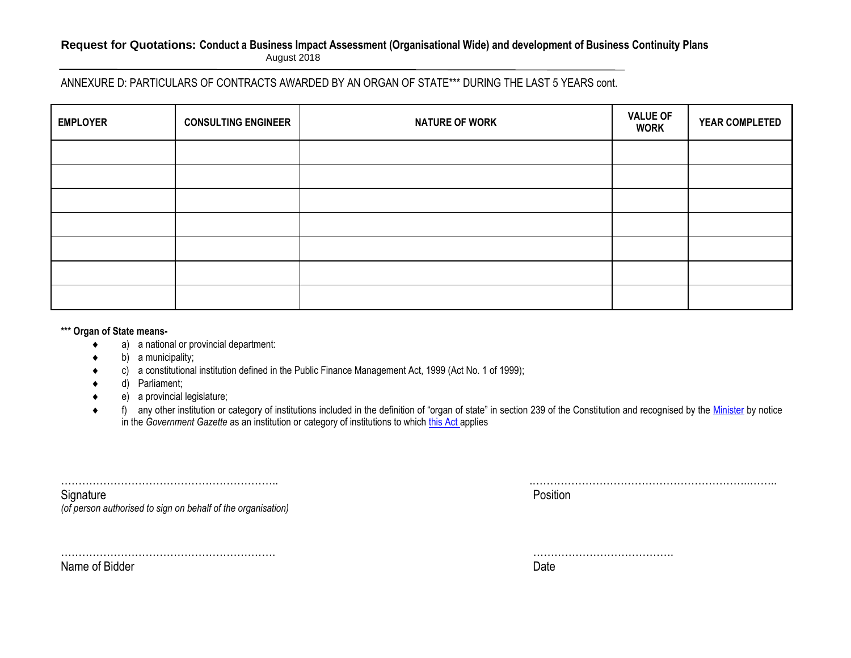### **Request for Quotations: Conduct a Business Impact Assessment (Organisational Wide) and development of Business Continuity Plans** August 2018

ANNEXURE D: PARTICULARS OF CONTRACTS AWARDED BY AN ORGAN OF STATE\*\*\* DURING THE LAST 5 YEARS cont.

| <b>EMPLOYER</b> | <b>CONSULTING ENGINEER</b> | <b>NATURE OF WORK</b> | <b>VALUE OF</b><br><b>WORK</b> | <b>YEAR COMPLETED</b> |
|-----------------|----------------------------|-----------------------|--------------------------------|-----------------------|
|                 |                            |                       |                                |                       |
|                 |                            |                       |                                |                       |
|                 |                            |                       |                                |                       |
|                 |                            |                       |                                |                       |
|                 |                            |                       |                                |                       |
|                 |                            |                       |                                |                       |
|                 |                            |                       |                                |                       |

#### **\*\*\* Organ of State means-**

- a) a national or provincial department:
- $\bullet$  b) a municipality;
- c) a constitutional institution defined in the Public Finance Management Act, 1999 (Act No. 1 of 1999);
- d) Parliament;
- e) a provincial legislature;
- ◆ f) any other institution or category of institutions included in the definition of "organ of state" in section 239 of the Constitution and recognised by the [Minister](javascript:void(0);) by notice in the *Government Gazette* as an institution or category of institutions to which [this Act](javascript:void(0);) applies

| Signature                                                    | Position |
|--------------------------------------------------------------|----------|
| (of person authorised to sign on behalf of the organisation) |          |

……………………………………………………. ………………………………….

Name of Bidder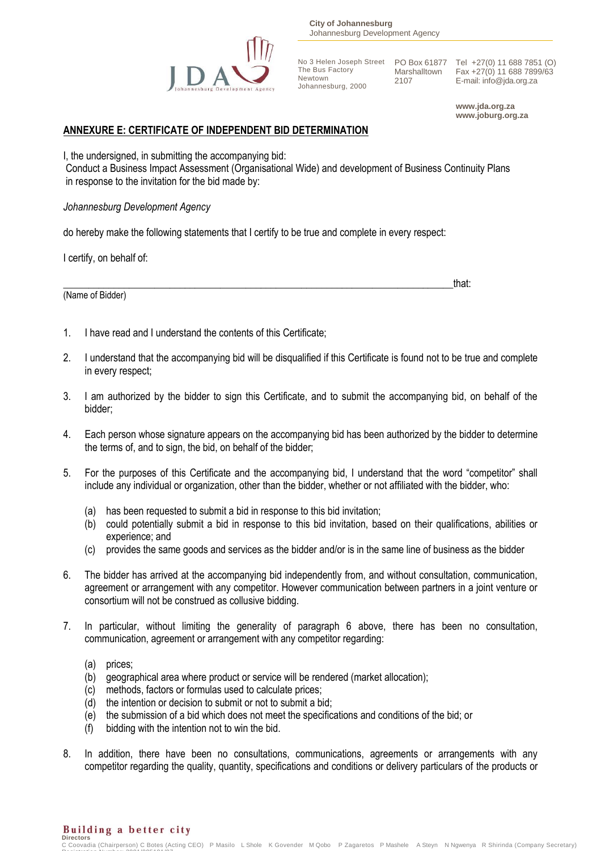

**City of Johannesburg** Johannesburg Development Agency

No 3 Helen Joseph Street No 3 Helen Joseph Street PO Box 61877<br>The Bus Factory Marshalltown Newtown Johannesburg, 2000

Marshalltown 2107

Tel +27(0) 11 688 7851 (O) Fax +27(0) 11 688 7899/63 E-mail: info@jda.org.za

**www.jda.org.za www.joburg.org.za**

# **ANNEXURE E: CERTIFICATE OF INDEPENDENT BID DETERMINATION**

I, the undersigned, in submitting the accompanying bid:

Conduct a Business Impact Assessment (Organisational Wide) and development of Business Continuity Plans in response to the invitation for the bid made by:

*Johannesburg Development Agency*

do hereby make the following statements that I certify to be true and complete in every respect:

I certify, on behalf of:

\_\_\_\_\_\_\_\_\_\_\_\_\_\_\_\_\_\_\_\_\_\_\_\_\_\_\_\_\_\_\_\_\_\_\_\_\_\_\_\_\_\_\_\_\_\_\_\_\_\_\_\_\_\_\_\_\_\_\_\_\_\_\_\_\_\_\_\_\_\_\_\_\_\_\_\_\_that: (Name of Bidder)

- 1. I have read and I understand the contents of this Certificate;
- 2. I understand that the accompanying bid will be disqualified if this Certificate is found not to be true and complete in every respect;
- 3. I am authorized by the bidder to sign this Certificate, and to submit the accompanying bid, on behalf of the bidder;
- 4. Each person whose signature appears on the accompanying bid has been authorized by the bidder to determine the terms of, and to sign, the bid, on behalf of the bidder;
- 5. For the purposes of this Certificate and the accompanying bid, I understand that the word "competitor" shall include any individual or organization, other than the bidder, whether or not affiliated with the bidder, who:
	- (a) has been requested to submit a bid in response to this bid invitation;
	- (b) could potentially submit a bid in response to this bid invitation, based on their qualifications, abilities or experience; and
	- (c) provides the same goods and services as the bidder and/or is in the same line of business as the bidder
- 6. The bidder has arrived at the accompanying bid independently from, and without consultation, communication, agreement or arrangement with any competitor. However communication between partners in a joint venture or consortium will not be construed as collusive bidding.
- 7. In particular, without limiting the generality of paragraph 6 above, there has been no consultation, communication, agreement or arrangement with any competitor regarding:
	- (a) prices;
	- (b) geographical area where product or service will be rendered (market allocation);
	- (c) methods, factors or formulas used to calculate prices;
	- (d) the intention or decision to submit or not to submit a bid;
	- (e) the submission of a bid which does not meet the specifications and conditions of the bid; or
	- (f) bidding with the intention not to win the bid.
- 8. In addition, there have been no consultations, communications, agreements or arrangements with any competitor regarding the quality, quantity, specifications and conditions or delivery particulars of the products or

Building a better city **Directors** 

C Coovadia (Chairperson) C Botes (Acting CEO) P Masilo L Shole K Govender M Qobo P Zagaretos P Mashele A Steyn N Ngwenya R Shirinda (Company Secretary) Registration Number: 2001/005101/07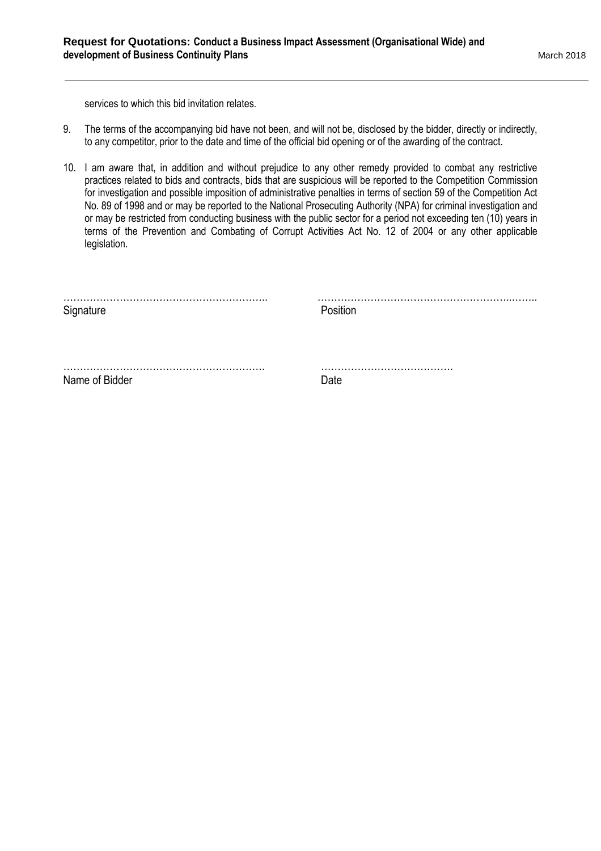services to which this bid invitation relates.

- 9. The terms of the accompanying bid have not been, and will not be, disclosed by the bidder, directly or indirectly, to any competitor, prior to the date and time of the official bid opening or of the awarding of the contract.
- 10. I am aware that, in addition and without prejudice to any other remedy provided to combat any restrictive practices related to bids and contracts, bids that are suspicious will be reported to the Competition Commission for investigation and possible imposition of administrative penalties in terms of section 59 of the Competition Act No. 89 of 1998 and or may be reported to the National Prosecuting Authority (NPA) for criminal investigation and or may be restricted from conducting business with the public sector for a period not exceeding ten (10) years in terms of the Prevention and Combating of Corrupt Activities Act No. 12 of 2004 or any other applicable legislation.

| Signature      | Position |
|----------------|----------|
|                |          |
| Name of Bidder | Date     |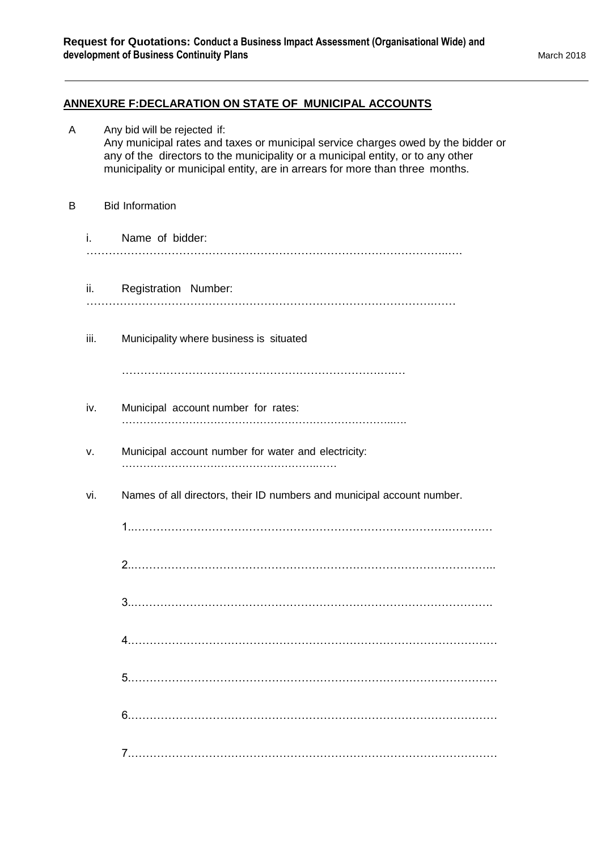# **ANNEXURE F:DECLARATION ON STATE OF MUNICIPAL ACCOUNTS**

| Α |      | Any bid will be rejected if:<br>Any municipal rates and taxes or municipal service charges owed by the bidder or<br>any of the directors to the municipality or a municipal entity, or to any other<br>municipality or municipal entity, are in arrears for more than three months. |
|---|------|-------------------------------------------------------------------------------------------------------------------------------------------------------------------------------------------------------------------------------------------------------------------------------------|
| B |      | <b>Bid Information</b>                                                                                                                                                                                                                                                              |
|   | i.   | Name of bidder:                                                                                                                                                                                                                                                                     |
|   |      | $\ddot{\mathbf{u}}$ .<br>Registration Number:                                                                                                                                                                                                                                       |
|   | iii. | Municipality where business is situated                                                                                                                                                                                                                                             |
|   | iv.  | Municipal account number for rates:                                                                                                                                                                                                                                                 |
|   | v.   | Municipal account number for water and electricity:                                                                                                                                                                                                                                 |
|   | vi.  | Names of all directors, their ID numbers and municipal account number.                                                                                                                                                                                                              |
|   |      |                                                                                                                                                                                                                                                                                     |
|   |      |                                                                                                                                                                                                                                                                                     |
|   |      |                                                                                                                                                                                                                                                                                     |
|   |      |                                                                                                                                                                                                                                                                                     |
|   |      |                                                                                                                                                                                                                                                                                     |
|   |      |                                                                                                                                                                                                                                                                                     |
|   |      |                                                                                                                                                                                                                                                                                     |